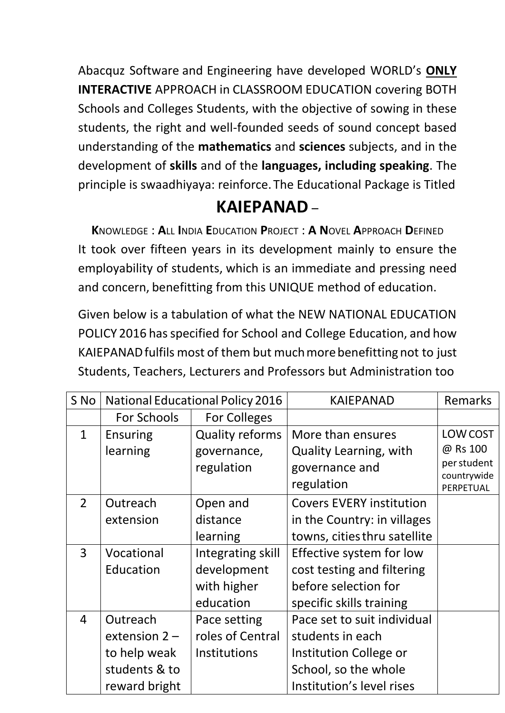Abacquz Software and Engineering have developed WORLD's **ONLY INTERACTIVE** APPROACH in CLASSROOM EDUCATION covering BOTH Schools and Colleges Students, with the objective of sowing in these students, the right and well-founded seeds of sound concept based understanding of the **mathematics** and **sciences** subjects, and in the development of **skills** and of the **languages, including speaking**. The principle is swaadhiyaya: reinforce. The Educational Package is Titled

## **KAIEPANAD** –

**K**NOWLEDGE : **A**LL **I**NDIA **E**DUCATION **P**ROJECT : **A N**OVEL **A**PPROACH **D**EFINED It took over fifteen years in its development mainly to ensure the employability of students, which is an immediate and pressing need and concern, benefitting from this UNIQUE method of education.

Given below is a tabulation of what the NEW NATIONAL EDUCATION POLICY 2016 has specified for School and College Education, and how KAIEPANADfulfils most of them but muchmorebenefitting not to just Students, Teachers, Lecturers and Professors but Administration too

| S No           | <b>National Educational Policy 2016</b> |                        | <b>KAIEPANAD</b>                | <b>Remarks</b>           |
|----------------|-----------------------------------------|------------------------|---------------------------------|--------------------------|
|                | For Schools                             | <b>For Colleges</b>    |                                 |                          |
| $\mathbf{1}$   | <b>Ensuring</b>                         | <b>Quality reforms</b> | More than ensures               | LOW COST                 |
|                | learning                                | governance,            | <b>Quality Learning, with</b>   | @ Rs 100                 |
|                |                                         | regulation             | governance and                  | per student              |
|                |                                         |                        | regulation                      | countrywide<br>PERPETUAL |
| $\overline{2}$ | Outreach                                | Open and               | <b>Covers EVERY institution</b> |                          |
|                | extension                               | distance               | in the Country: in villages     |                          |
|                |                                         | learning               | towns, cities thru satellite    |                          |
| 3              | Vocational                              | Integrating skill      | Effective system for low        |                          |
|                | Education                               | development            | cost testing and filtering      |                          |
|                |                                         | with higher            | before selection for            |                          |
|                |                                         | education              | specific skills training        |                          |
| $\overline{4}$ | Outreach                                | Pace setting           | Pace set to suit individual     |                          |
|                | extension $2 -$                         | roles of Central       | students in each                |                          |
|                | to help weak                            | Institutions           | Institution College or          |                          |
|                | students & to                           |                        | School, so the whole            |                          |
|                | reward bright                           |                        | Institution's level rises       |                          |